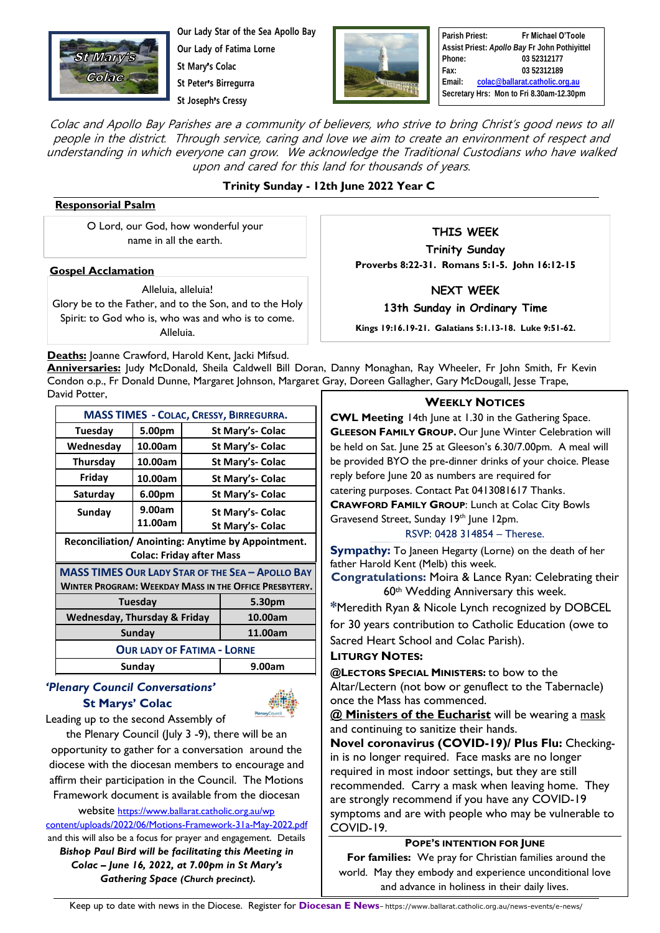

**Our Lady Star of the Sea Apollo Bay Our Lady of Fatima Lorne St Mary**'**s Colac**

**St Peter**'**s Birregurra**

**St Joseph**'**s Cressy**



**Parish Priest: Fr Michael O'Toole Assist Priest:** *Apollo Bay* **Fr John Pothiyittel Phone: 03 52312177 Fax: 03 52312189 Email: [colac@ballarat.catholic.org.au](mailto:colac@ballarat.catholic.org.au) Secretary Hrs: Mon to Fri 8.30am-12.30pm**

Colac and Apollo Bay Parishes are a community of believers, who strive to bring Christ's good news to all people in the district. Through service, caring and love we aim to create an environment of respect and understanding in which everyone can grow. We acknowledge the Traditional Custodians who have walked upon and cared for this land for thousands of years.

## **Trinity Sunday - 12th June 2022 Year C**

#### **Responsorial Psalm**

O Lord, our God, how wonderful your name in all the earth.

#### **Gospel Acclamation**

Alleluia, alleluia! Glory be to the Father, and to the Son, and to the Holy Spirit: to God who is, who was and who is to come. Alleluia.

**THIS WEEK**

**Trinity Sunday Proverbs 8:22-31. Romans 5:1-5. John 16:12-15**

**NEXT WEEK**

**13th Sunday in Ordinary Time** 

**Kings 19:16.19-21. Galatians 5:1.13-18. Luke 9:51-62.**

Deaths: Joanne Crawford, Harold Kent, Jacki Mifsud.

**Anniversaries:** Judy McDonald, Sheila Caldwell Bill Doran, Danny Monaghan, Ray Wheeler, Fr John Smith, Fr Kevin Condon o.p., Fr Donald Dunne, Margaret Johnson, Margaret Gray, Doreen Gallagher, Gary McDougall, Jesse Trape, David Potter,

| <b>MASS TIMES - COLAC, CRESSY, BIRREGURRA.</b>          |         |                  |                  |
|---------------------------------------------------------|---------|------------------|------------------|
| <b>Tuesday</b>                                          | 5.00pm  |                  | St Mary's- Colac |
| Wednesday                                               | 10.00am |                  | St Mary's- Colac |
| <b>Thursday</b>                                         | 10.00am | St Mary's- Colac |                  |
| Friday                                                  | 10.00am | St Mary's- Colac |                  |
| Saturday                                                | 6.00pm  | St Mary's- Colac |                  |
| Sunday                                                  | 9.00am  |                  | St Mary's- Colac |
|                                                         | 11.00am |                  | St Mary's- Colac |
| Reconciliation/ Anointing: Anytime by Appointment.      |         |                  |                  |
| <b>Colac: Friday after Mass</b>                         |         |                  |                  |
| <b>MASS TIMES OUR LADY STAR OF THE SEA - APOLLO BAY</b> |         |                  |                  |
| WINTER PROGRAM: WEEKDAY MASS IN THE OFFICE PRESBYTERY.  |         |                  |                  |
| Tuesday                                                 |         |                  | 5.30pm           |
| <b>Wednesday, Thursday &amp; Friday</b>                 |         |                  | 10.00am          |
| Sunday                                                  |         |                  | 11.00am          |
| <b>OUR LADY OF FATIMA - LORNE</b>                       |         |                  |                  |
| Sunday                                                  |         |                  | 9.00am           |

## *'Plenary Council Conversations'*  **St Marys' Colac**



Leading up to the second Assembly of

the Plenary Council (luly 3 -9), there will be an opportunity to gather for a conversation around the diocese with the diocesan members to encourage and affirm their participation in the Council. The Motions Framework document is available from the diocesan

website [https://www.ballarat.catholic.org.au/wp](https://www.ballarat.catholic.org.au/wp%20content/uploads/2022/06/Motions-Framework-31a-May-2022.pdf) [content/uploads/2022/06/Motions-Framework-31a-May-2022.pdf](https://www.ballarat.catholic.org.au/wp%20content/uploads/2022/06/Motions-Framework-31a-May-2022.pdf) and this will also be a focus for prayer and engagement. Details *Bishop Paul Bird will be facilitating this Meeting in Colac – June 16, 2022, at 7.00pm in St Mary's Gathering Space (Church precinct).*

#### **WEEKLY NOTICES**

**CWL Meeting** 14th June at 1.30 in the Gathering Space. **GLEESON FAMILY GROUP.** Our June Winter Celebration will be held on Sat. June 25 at Gleeson's 6.30/7.00pm. A meal will be provided BYO the pre-dinner drinks of your choice. Please reply before June 20 as numbers are required for catering purposes. Contact Pat 0413081617 Thanks. **CRAWFORD FAMILY GROUP**: Lunch at Colac City Bowls Gravesend Street, Sunday 19<sup>th</sup> June 12pm.

RSVP: 0428 314854 – Therese.

**Sympathy:** To Janeen Hegarty (Lorne) on the death of her father Harold Kent (Melb) this week.

**Congratulations:** Moira & Lance Ryan: Celebrating their 60th Wedding Anniversary this week.

**\***Meredith Ryan & Nicole Lynch recognized by DOBCEL for 30 years contribution to Catholic Education (owe to

Sacred Heart School and Colac Parish).

### **LITURGY NOTES:**

**@LECTORS SPECIAL MINISTERS:** to bow to the Altar/Lectern (not bow or genuflect to the Tabernacle) once the Mass has commenced.

**@ Ministers of the Eucharist** will be wearing a mask and continuing to sanitize their hands.

**Novel coronavirus (COVID-19)/ Plus Flu:** Checkingin is no longer required. Face masks are no longer required in most indoor settings, but they are still recommended. Carry a mask when leaving home. They are strongly recommend if you have any COVID-19 symptoms and are with people who may be vulnerable to COVID-19.

#### **POPE'S INTENTION FOR JUNE**

**For families:** We pray for Christian families around the world. May they embody and experience unconditional love and advance in holiness in their daily lives.

Keep up to date with news in the Diocese. Register for **Diocesan E News**– https://www.ballarat.catholic.org.au/news-events/e-news/